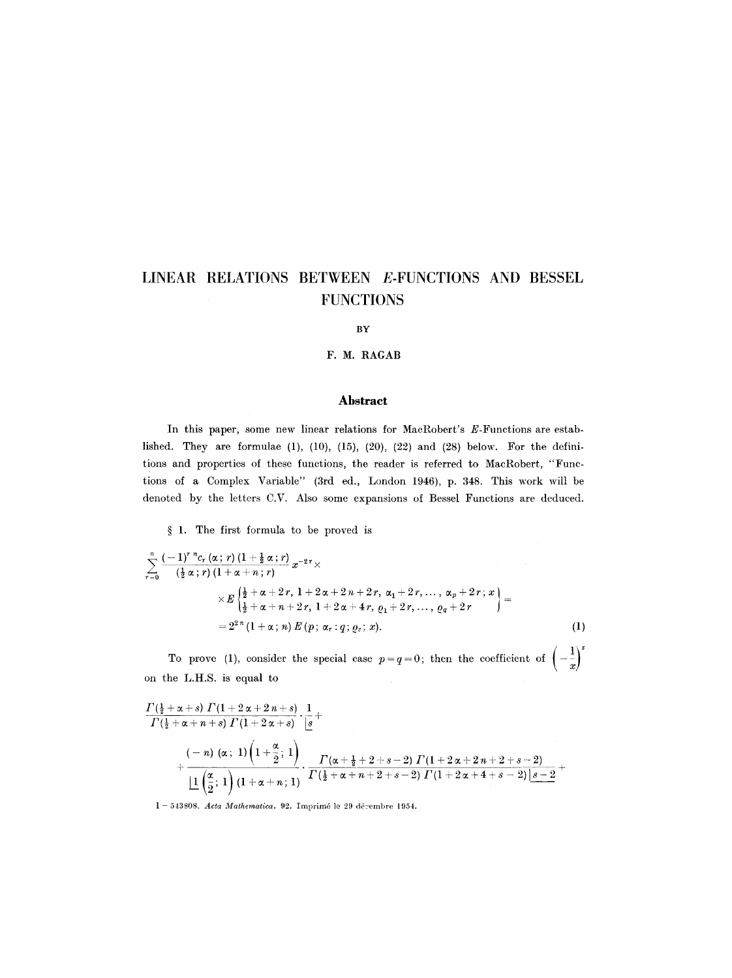#### **BY**

# **F. M. RAGAB**

# **Abstract**

In this paper, some new linear relations for MacRobert's E-Functions are established. They are formulae (1), (10), (15), (20), (22) and (28) below. For the definitions and properties of these functions, the reader is referred to MacRobert, "Functions of a Complex Variable" (3rd ed., London 1946), p. 348. This work will be denoted by the letters C.V. Also some expansions of Bessel Functions are deduced.

§ 1. The first formula to be proved is

$$
\sum_{r=0}^{n} \frac{(-1)^{r} {}^{n}c_{r}(\alpha; r) (1 + \frac{1}{2}\alpha; r)}{(\frac{1}{2}\alpha; r) (1 + \alpha + n; r)} x^{-2r} \times \\ \times E \left\{ \frac{\frac{1}{2} + \alpha + 2r, 1 + 2\alpha + 2n + 2r, \alpha_{1} + 2r, \dots, \alpha_{p} + 2r; x}{\frac{1}{2} + \alpha + n + 2r, 1 + 2\alpha + 4r, \varrho_{1} + 2r, \dots, \varrho_{q} + 2r} \right\} = \\ = 2^{2 n} (1 + \alpha; n) E(p; \alpha_{r}; q; \varrho_{s}; x).
$$
 (1)

To prove (1), consider the special case  $p=q=0$ ; then the coefficient of  $\left(-\frac{1}{x}\right)^s$ on the L.H.S. is equal to

$$
\begin{aligned} &\frac{\Gamma(\frac{1}{2}+\alpha+s)\ \Gamma(1+2\,\alpha+2\,n+s)}{\Gamma(\frac{1}{2}+\alpha+n+s)\ \Gamma(1+2\,\alpha+s)}\cdot\frac{1}{|s|}+\\ &+\frac{(-\,n)\ (\alpha\,;\ \ 1)\left(1+\frac{\alpha}{2}\,;\ \ 1\right)}{\frac{\,\,1\,}{2}\left(1+\alpha+n\,;\ \ 1\right)}\cdot\frac{\,\Gamma(\alpha+\frac{1}{2}+2+s-2)\ \Gamma(1+2\,\alpha+2\,n+2+s-2)}{\Gamma\left(\frac{1}{2}+\alpha+n+2+s-2\right)\ \Gamma(1+2\,\alpha+4+s-2)\ \frac{|s-2|}{2}+\\ \end{aligned}
$$

1 - 543808. *Acta Mathematica.* 92. Imprimé le 29 décembre 1954.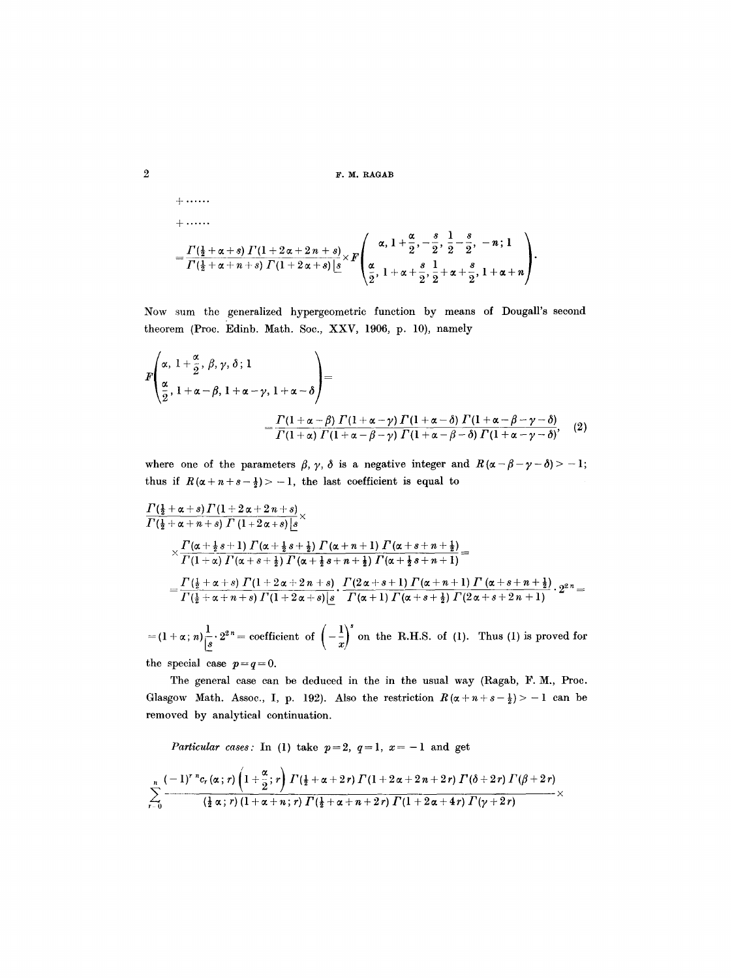F. M. RAGAB

+.....  
=
$$
\frac{\Gamma(\frac{1}{2}+\alpha+s)\Gamma(1+2\alpha+2n+s)}{\Gamma(\frac{1}{2}+\alpha+n+s)\Gamma(1+2\alpha+s)\lfloor s\rfloor}\times F\left(\frac{\alpha,1+\frac{\alpha}{2},-\frac{s}{2},\frac{1}{2}-\frac{s}{2},-n;1}{\frac{\alpha}{2},1+\alpha+\frac{s}{2},\frac{1}{2}+\alpha+\frac{s}{2},1+\alpha+n}\right).
$$

Now sum the generalized hypergeometric function by means of Dougall's second theorem (Proc. Edinb. Math. Soc., XXV, 1906, p. 10), namely

$$
F\left(\frac{\alpha}{\frac{\alpha}{2}}, 1+\frac{\alpha}{\alpha-\beta}, 1+\alpha-\gamma, 1+\alpha-\delta\right) = \frac{\Gamma(1+\alpha-\beta)\Gamma(1+\alpha-\gamma)\Gamma(1+\alpha-\delta)\Gamma(1+\alpha-\beta-\gamma-\delta)}{\Gamma(1+\alpha)\Gamma(1+\alpha-\beta-\gamma)\Gamma(1+\alpha-\beta-\delta)\Gamma(1+\alpha-\gamma-\delta)}, \quad (2)
$$

where one of the parameters  $\beta$ ,  $\gamma$ ,  $\delta$  is a negative integer and  $R(\alpha - \beta - \gamma - \delta) > -1$ ; thus if  $R(\alpha+n+s-\frac{1}{2}) > -1$ , the last coefficient is equal to

$$
\frac{\Gamma(\frac{1}{2}+\alpha+s)\Gamma(1+2\alpha+2n+s)}{\Gamma(\frac{1}{2}+\alpha+n+s)\Gamma(1+2\alpha+s)\left[s\right]} \times \\ \times \frac{\Gamma(\alpha+\frac{1}{2}s+1)\Gamma(\alpha+\frac{1}{2}s+\frac{1}{2})\Gamma(\alpha+n+1)\Gamma(\alpha+s+n+\frac{1}{2})}{\Gamma(1+\alpha)\Gamma(\alpha+s+\frac{1}{2})\Gamma(\alpha+\frac{1}{2}s+n+\frac{1}{2})\Gamma(\alpha+\frac{1}{2}s+n+1)} = \\ = \frac{\Gamma(\frac{1}{2}+\alpha+s)\Gamma(1+2\alpha+2n+s)}{\Gamma(\frac{1}{2}+\alpha+n+s)\Gamma(1+2\alpha+s)\left[s\right]} \cdot \frac{\Gamma(2\alpha+s+1)\Gamma(\alpha+n+1)\Gamma(\alpha+s+n+\frac{1}{2})}{\Gamma(\alpha+1)\Gamma(\alpha+s+\frac{1}{2})\Gamma(2\alpha+s+2n+1)} \cdot 2^{2\pi} = \\ = \frac{\Gamma(\frac{1}{2}+\alpha+n+s)\Gamma(1+2\alpha+s)\left[s\right]}{\Gamma(\alpha+1)\Gamma(\alpha+s+\frac{1}{2})\Gamma(2\alpha+s+2n+1)} \cdot 2^{2\pi} = \\ = \frac{\Gamma(\frac{1}{2}+\alpha+n+s)\Gamma(1+2\alpha+s)\left[s\right]}{\Gamma(\alpha+s+\frac{1}{2})\Gamma(\alpha+s+\frac{1}{2})\Gamma(2\alpha+s+2n+1)} \cdot 2^{2\pi} = \\ = \frac{\Gamma(\frac{1}{2}+\alpha+n+s)\Gamma(1+2\alpha+s)\left[s\right]}{\Gamma(\alpha+s+\frac{1}{2})\Gamma(\alpha+s+\frac{1}{2})\Gamma(2\alpha+s+2n+1)} \cdot 2^{2\pi} = \\ = \frac{\Gamma(\frac{1}{2}+\alpha+n+s)\Gamma(1+2\alpha+s)\left[s\right]}{\Gamma(\alpha+s+\frac{1}{2})\Gamma(\alpha+s+\frac{1}{2})\Gamma(2\alpha+s+2n+1)} \cdot 2^{2\pi} = \\ = \frac{\Gamma(\frac{1}{2}+\alpha+n+s)\Gamma(1+2\alpha+s)\left[s\right]}{\Gamma(\alpha+s+\frac{1}{2})\Gamma(\alpha+s+\frac{1}{2})\Gamma(2\alpha+s+2n+1)} \cdot 2^{2\pi} = \\ = \frac{\Gamma(\frac{1}{2}+\alpha+n+s)\Gamma(1+2\alpha+s)\left[s\right]}{\Gamma(\alpha+s+\frac{1}{2})\Gamma(\alpha+s+\frac{1}{2})\Gamma(2\alpha+s+2n+1)} \cdot
$$

 $=(1+\alpha; n)\frac{1}{s}\cdot 2^{2n}$  = coefficient of  $\left(-\frac{1}{x}\right)^s$  on the R.H.S. of (1). Thus (1) is proved for the special case  $p=q=0$ .

The general case can be deduced in the in the usual way (Ragab, F. M., Proc. Glasgow Math. Assoc., I, p. 192). Also the restriction  $R(\alpha + n + s - \frac{1}{2}) > -1$  can be removed by analytical continuation.

*Particular cases:* In (1) take  $p=2$ ,  $q=1$ ,  $x=-1$  and get

$$
\sum_{r=0}^n\frac{(-1)^{r}\, {}^nc_r\left(\alpha\,;\,r\right)\left(1+\frac{\alpha}{2};\,r\right)\,\varGamma\left(\frac{1}{2}+\alpha+2\,r\right)\,\varGamma\left(1+2\,\alpha+2\,n+2\,r\right)\,\varGamma\left(\delta+2\,r\right)\,\varGamma\left(\beta+2\,r\right)}{\left(\frac{1}{2}\,\alpha\,;\,r\right)\,\left(1+\alpha+n\,;\,r\right)\,\varGamma\left(\frac{1}{2}+\alpha+n+2\,r\right)\,\varGamma\left(1+2\,\alpha+4\,r\right)\,\varGamma\left(\gamma+2\,r\right)}\times
$$

 $\,2$ 

§ ......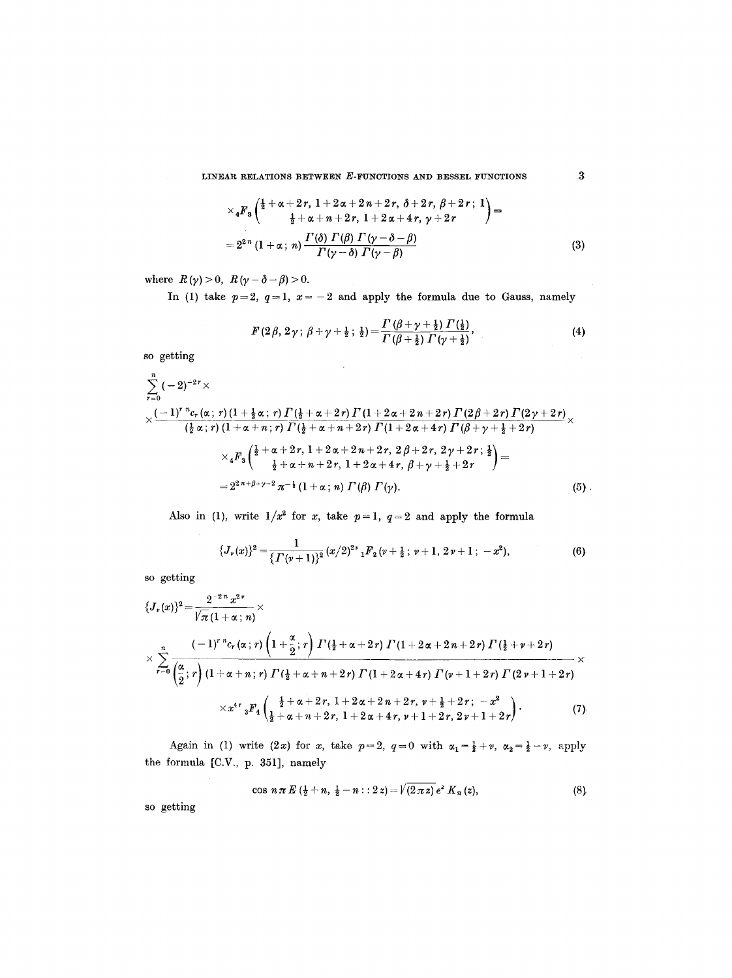$$
\times {}_4F_3\left(\frac{\frac{1}{2}+\alpha+2r, 1+2\alpha+2r+2r, \delta+2r, \beta+2r; 1}{\frac{1}{2}+\alpha+n+2r, 1+2\alpha+4r, \gamma+2r}\right) =
$$
  
=  $2^{2n} (1+\alpha; n) \frac{\Gamma(\delta) \Gamma(\beta) \Gamma(\gamma-\delta-\beta)}{\Gamma(\gamma-\delta) \Gamma(\gamma-\beta)}$  (3)

where  $R(\gamma) > 0$ ,  $R(\gamma - \delta - \beta) > 0$ .

In (1) take  $p=2$ ,  $q=1$ ,  $x=-2$  and apply the formula due to Gauss, namely

$$
F(2\beta, 2\gamma; \beta + \gamma + \frac{1}{2}; \frac{1}{2}) = \frac{\Gamma(\beta + \gamma + \frac{1}{2}) \Gamma(\frac{1}{2})}{\Gamma(\beta + \frac{1}{2}) \Gamma(\gamma + \frac{1}{2})}, \tag{4}
$$

so getting

$$
\sum_{r=0}^{n} (-2)^{-2r} \times
$$
\n
$$
\times \frac{(-1)^{r} {}^{n}c_{r}(\alpha; r) (1 + \frac{1}{2}\alpha; r) \Gamma(\frac{1}{2} + \alpha + 2r) \Gamma(1 + 2\alpha + 2n + 2r) \Gamma(2\beta + 2r) \Gamma(2\gamma + 2r)}{(\frac{1}{2}\alpha; r) (1 + \alpha + n; r) \Gamma(\frac{1}{2} + \alpha + n + 2r) \Gamma(1 + 2\alpha + 4r) \Gamma(\beta + \gamma + \frac{1}{2} + 2r)} \times
$$
\n
$$
\times {}_{4}F_{3} \left( \frac{\frac{1}{2} + \alpha + 2r, 1 + 2\alpha + 2n + 2r, 2\beta + 2r, 2\gamma + 2r; \frac{1}{2}}{\frac{1}{2} + \alpha + n + 2r, 1 + 2\alpha + 4r, \beta + \gamma + \frac{1}{2} + 2r} \right) =
$$
\n
$$
= 2^{2} {}^{n+\beta+\gamma-2} \pi^{-\frac{1}{2}} (1 + \alpha; n) \Gamma(\beta) \Gamma(\gamma).
$$
\n(5)

 $\sim$   $\sim$ 

Also in (1), write  $1/x^2$  for x, take  $p=1$ ,  $q=2$  and apply the formula

$$
\{J_{\nu}(x)\}^{2}=\frac{1}{\{\Gamma(\nu+1)\}^{2}}(x/2)^{2\nu}{}_{1}F_{2}(\nu+\frac{1}{2};\,\nu+1,\,2\,\nu+1;\,-x^{2}),
$$
\n(6)

so getting

$$
\{J_{\nu}(x)\}^{2} = \frac{2^{-2n} x^{2\nu}}{\sqrt{\pi} (1 + \alpha; n)} \times
$$
\n
$$
\times \sum_{r=0}^{n} \frac{(-1)^{r} {^{n}c_{r}(\alpha; r)} \left(1 + \frac{\alpha}{2}; r\right) \Gamma\left(\frac{1}{2} + \alpha + 2r\right) \Gamma\left(1 + 2\alpha + 2n + 2r\right) \Gamma\left(\frac{1}{2} + \nu + 2r\right)}{\left(\frac{\alpha}{2}; r\right) \left(1 + \alpha + n; r\right) \Gamma\left(\frac{1}{2} + \alpha + n + 2r\right) \Gamma\left(1 + 2\alpha + 4r\right) \Gamma\left(\nu + 1 + 2r\right) \Gamma\left(2\nu + 1 + 2r\right)} \times
$$
\n
$$
\times x^{4r} {}_{3}F_{4} \left(\frac{\frac{1}{2} + \alpha + 2r, 1 + 2\alpha + 2n + 2r, \nu + \frac{1}{2} + 2r; -x^{2}}{\frac{1}{2} + \alpha + n + 2r, 1 + 2\alpha + 4r, \nu + 1 + 2r, 2\nu + 1 + 2r} \right). \tag{7}
$$

Again in (1) write (2x) for x, take  $p=2$ ,  $q=0$  with  $\alpha_1=\frac{1}{2}+\nu$ ,  $\alpha_2=\frac{1}{2}-\nu$ , apply the formula [C.V., p. 351], namely

$$
\cos n\pi E\left(\frac{1}{2}+n,\frac{1}{2}-n::2z\right)=\sqrt{(2\pi z)}e^{z} K_{n}(z), \qquad (8)
$$

so getting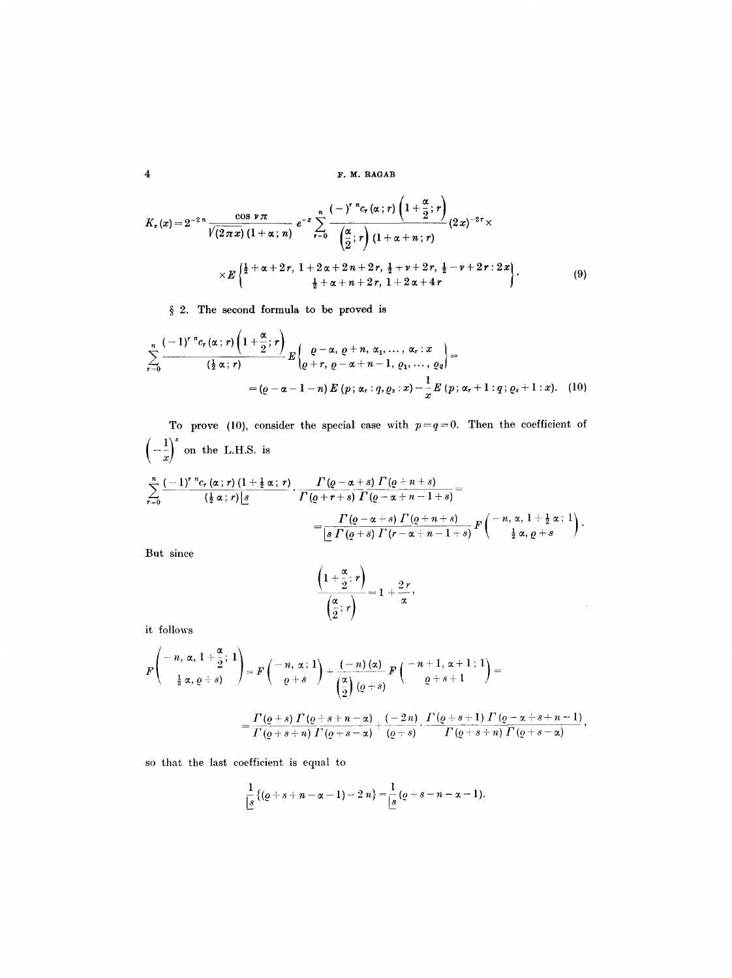**4 F, M, RAGAB** 

$$
K_{r}(x) = 2^{-2n} \frac{\cos \nu \pi}{\sqrt{(2\pi x)} (1 + \alpha; n)} e^{-x} \sum_{r=0}^{n} \frac{(-)^{r} {}^{n}c_{r}(\alpha; r) \left(1 + \frac{\alpha}{2}; r\right)}{\left(\frac{\alpha}{2}; r\right) (1 + \alpha + n; r)} (2x)^{-2r} \times \\ \times E\left\{\frac{\frac{1}{2} + \alpha + 2r, 1 + 2\alpha + 2n + 2r, \frac{1}{2} + \nu + 2r, \frac{1}{2} - \nu + 2r : 2x}{\frac{1}{2} + \alpha + n + 2r, 1 + 2\alpha + 4r}\right\}.
$$
\n(9)

§ 2. The second formula to be proved is

$$
\sum_{r=0}^{n} \frac{(-1)^{r} {}^{n}c_{r}(\alpha;r) \left(1+\frac{\alpha}{2};r\right)}{\left(\frac{1}{2}\alpha;r\right)} E\left\{\frac{\varrho-\alpha,\varrho+n,\alpha_{1},\ldots,\alpha_{r}:x}{\varrho+\alpha+n-1,\varrho_{1},\ldots,\varrho_{q}}\right\} =
$$

$$
= (\varrho-\alpha-1-n) E\left(p;\alpha_{r}:\varrho,\varrho_{s}:x\right)-\frac{1}{x} E\left(p;\alpha_{r}+1:q;\varrho_{s}+1:x\right).
$$
 (10)

To prove (10), consider the special case with  $p=q=0$ . Then the coefficient of  $\left(-\frac{1}{x}\right)^s$  on the L.H.S. is  $\frac{n}{\zeta^2}(-1)^{r}\frac{n}{r}c_r\left(\alpha\,;\,r\right)(1+\frac{1}{2}\,\alpha\,;\,r) \qquad \Gamma\left(\varrho-\alpha+s\right)\varGamma\left(\varrho+n+s\right)$  $\sum_{r=0}$   $(\frac{1}{2} \alpha; r)|s$   $\Gamma(\varrho+r+s) \Gamma(\varrho-\alpha+n-1+s)$  $\varGamma\left(\varrho-\alpha+s\right)\varGamma\left(\varrho+n+s\right)$  $|s \Gamma(q+s) \Gamma(r-\alpha +n-1+s)|$  $\frac{1}{E}$  $\left(-n, \alpha, 1+\frac{1}{2}\alpha; 1\right)$ .  $\frac{1}{2} \alpha, \varrho + s$  /

But since

$$
\frac{\left(1+\frac{\alpha}{2};r\right)}{\left(\frac{\alpha}{2};r\right)}=1+\frac{2\,r}{\alpha},\,
$$

 $\hat{\boldsymbol{\beta}}$ 

it follows

$$
F\left(\begin{array}{c} -n,\, \alpha,\, 1+\dfrac{\alpha}{2};\, 1 \\[0.2cm] \frac{1}{2}\,\alpha,\, \varrho+s\end{array}\right)=F\left(\begin{array}{c} -n,\, \alpha\,;\, 1 \\[0.2cm] \varrho+s\end{array}\right)+\dfrac{(-\,n)\,(\alpha)}{\left(\dfrac{\alpha}{2}\right)(\varrho+s)}\,F\left(\begin{array}{c} -n+1,\, \alpha+1\,;\, 1 \\[0.2cm] \varrho+s+1\end{array}\right)=\\[0.2cm] =\dfrac{\varGamma\left(\varrho+s\right)\,\varGamma\left(\varrho+s+n-\alpha\right)}{\varGamma\left(\varrho+s+n\right)\,\varGamma\left(\varrho+s-\alpha\right)}+\dfrac{(-\,2\,n)}{\left(\varrho+s\right)}\cdot\dfrac{\varGamma\left(\varrho+s+1\right)\,\varGamma\left(\varrho-\alpha+s+n-1\right)}{\varGamma\left(\varrho+s+n\right)\,\varGamma\left(\varrho+s-\alpha\right)},
$$

so that the last coefficient is equal to

$$
\frac{1}{s}\{(q+s+n-\alpha-1)-2\ n\}=\frac{1}{s}\,(q+s-n-\alpha-1).
$$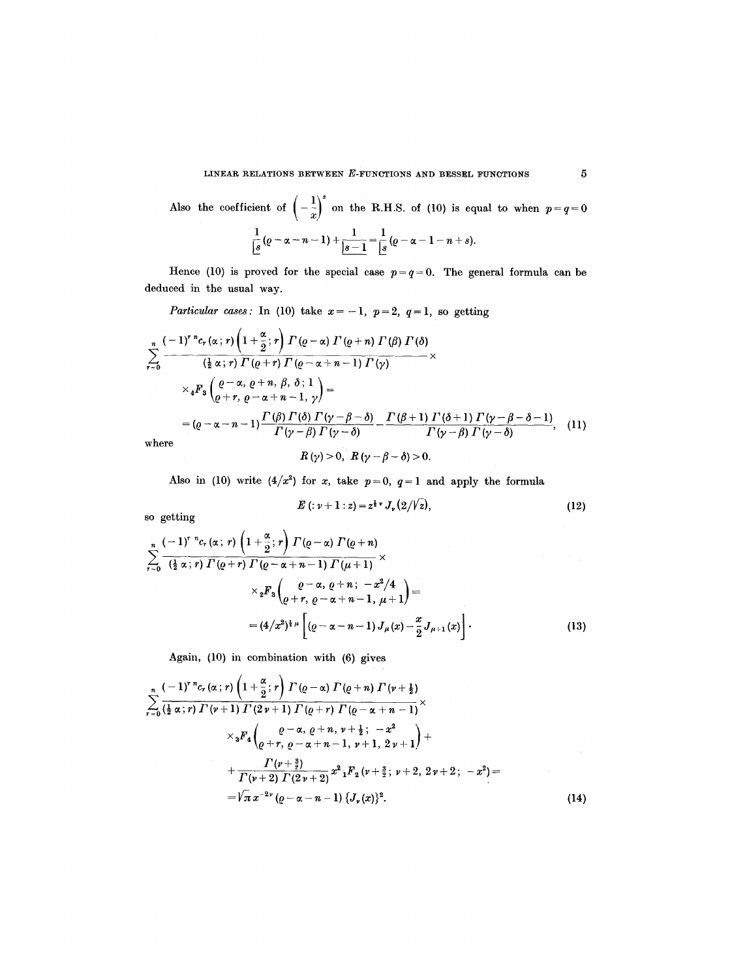Also the coefficient of 
$$
\left(-\frac{1}{x}\right)^s
$$
 on the R.H.S. of (10) is equal to when  $p=q=0$   

$$
\frac{1}{s}(p-\alpha-n-1)+\frac{1}{s-1}=\frac{1}{s}(p-\alpha-1-n+s).
$$

Hence (10) is proved for the special case  $p=q=0$ . The general formula can be deduced in the usual way.

*Particular cases:* In (10) take  $x = -1$ ,  $p = 2$ ,  $q = 1$ , so getting

$$
\sum_{r=0}^{n} \frac{(-1)^{r} {}^{n}c_{r}(\alpha;r) \left(1+\frac{\alpha}{2};r\right) \Gamma(\varrho-\alpha) \Gamma(\varrho+n) \Gamma(\beta) \Gamma(\delta)}{\left(\frac{1}{2}\alpha;r\right) \Gamma(\varrho+r) \Gamma(\varrho-\alpha+n-1) \Gamma(\gamma)} \times
$$
\n
$$
\times {}_{4}F_{3} \left(\frac{\varrho-\alpha, \varrho+n, \beta, \delta; 1}{\varrho+r, \varrho-\alpha+n-1, \gamma}\right) =
$$
\n
$$
= (\varrho-\alpha-n-1) \frac{\Gamma(\beta) \Gamma(\delta) \Gamma(\gamma-\beta-\delta)}{\Gamma(\gamma-\beta) \Gamma(\gamma-\delta)} - \frac{\Gamma(\beta+1) \Gamma(\delta+1) \Gamma(\gamma-\beta-\delta-1)}{\Gamma(\gamma-\beta) \Gamma(\gamma-\delta)}, \quad (11)
$$
\nwhere\n
$$
R(\gamma) > 0 \quad R(\gamma-\beta-\delta) > 0
$$

 $R(\gamma) > 0, \ R(\gamma - \beta - \delta) > 0.$ 

Also in (10) write  $(4/x^2)$  for x, take  $p=0$ ,  $q=1$  and apply the formula

$$
E(z + 1:z) = z^{\frac{1}{2}\nu} J_{\nu}(2/\sqrt{z}), \qquad (12)
$$

so getting

$$
\sum_{r=0}^{n} \frac{(-1)^{r} {}^{n}c_{r}(\alpha;r) \left(1+\frac{\alpha}{2};r\right) \Gamma(\varrho-\alpha) \Gamma(\varrho+n)}{\left(\frac{1}{2}\alpha;r\right) \Gamma(\varrho+r) \Gamma(\varrho-\alpha+n-1) \Gamma(\mu+1)} \times \\ \times {}_{2}F_{3}\left(\frac{\varrho-\alpha,\varrho+n;-x^{2}/4}{\varrho+r,\varrho-\alpha+n-1,\mu+1}\right) = \\ = (4/x^{2})^{\frac{1}{2}\mu} \left[\left(\varrho-\alpha-n-1\right) J_{\mu}(x) - \frac{x}{2} J_{\mu+1}(x)\right]. \tag{13}
$$

Again, (10) in combination with (6) gives

$$
\sum_{r=0}^{n} \frac{(-1)^{r} {}^{n}c_{r}(\alpha;r) \left(1+\frac{\alpha}{2};r\right) \Gamma(\varrho-\alpha) \Gamma(\varrho+n) \Gamma(\nu+\frac{1}{2})}{\left(\frac{1}{2}\alpha;r\right) \Gamma(\nu+1) \Gamma(2\nu+1) \Gamma(\varrho+r) \Gamma(\varrho-\alpha+n-1)} \times \\ \times {}_{3}F_{4} \left(\frac{\varrho-\alpha,\varrho+n,\nu+\frac{1}{2};\ -x^{2}}{\varrho+\nu,\varrho-\alpha+n-1,\nu+1,\ 2\nu+1}\right) + \\ + \frac{\Gamma(\nu+\frac{3}{2})}{\Gamma(\nu+2) \Gamma(2\nu+2)} x^{2} {}_{1}F_{2}(\nu+\frac{3}{2};\ \nu+2,\ 2\nu+2;\ -x^{2}) = \\ = \sqrt{\pi} x^{-2\nu} (\varrho-\alpha-n-1) \left\{\frac{J_{\nu}(x)\right\}^{2}}{(\nu+\nu+1,\ 2\nu+2)} \right\}.
$$
\n(14)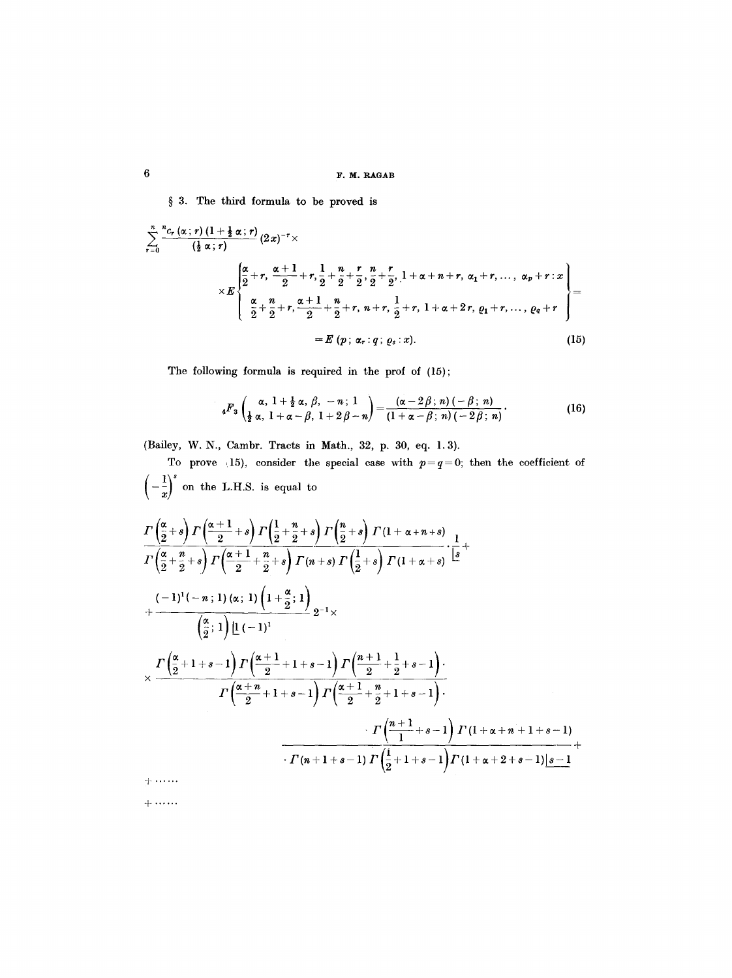§ 3. The third formula to be proved is

$$
\sum_{r=0}^{n} \frac{{}^{n}c_{r}(\alpha;r) \left(1+\frac{1}{2}\alpha;r\right)}{\left(\frac{1}{2}\alpha;r\right)} (2x)^{-r} \times \\
\times E \left\{\begin{aligned}\n&\frac{\alpha}{2}+r, & \frac{\alpha+1}{2}+r, & \frac{1}{2}+\frac{n}{2}+\frac{r}{2}, & \frac{n}{2}+\frac{r}{2}, & 1+\alpha+n+r, & \alpha_{1}+r, & \dots, & \alpha_{p}+r:x \\
&\frac{\alpha}{2}+\frac{n}{2}+r, & \frac{\alpha+1}{2}+\frac{n}{2}+r, & n+r, & \frac{1}{2}+r, & 1+\alpha+2r, & \varrho_{1}+r, & \dots, & \varrho_{q}+r\n\end{aligned}\right\} = E \left\{ p; \alpha_{r}: q; \varrho_{s}: x\right\}.
$$
\n
$$
(15)
$$

The following formula is required in the prof of (15);

$$
{}_{4}F_{3}\left(\frac{\alpha}{\frac{1}{2} \alpha}, \frac{1+\frac{1}{2} \alpha}{1+\alpha-\beta}, \frac{\beta}{1+2 \beta-n}\right)=\frac{(\alpha-2 \beta; n)(-\beta; n)}{(1+\alpha-\beta; n)(-2 \beta; n)}.
$$
 (16)

(Bailey, W. N., Cambr. Tracts in Math., 32, p. 30, eq. 1.3).

To prove 15), consider the special case with  $p=q=0$ ; then the coefficient of  $\left(-\frac{1}{x}\right)^s$  on the L.H.S. is equal to  $\frac{\Gamma\left(\frac{\alpha}{2}+s\right)\Gamma\left(\frac{\alpha+1}{2}+s\right)\Gamma\left(\frac{1}{2}+\frac{n}{2}+s\right)\Gamma\left(\frac{n}{2}+s\right)\Gamma\left(1+\alpha+n+s\right)}{\Gamma\left(\frac{\alpha}{2}+\frac{n}{2}+s\right)\Gamma\left(\frac{\alpha+1}{2}+\frac{n}{2}+s\right)\Gamma\left(n+s\right)\Gamma\left(\frac{1}{2}+s\right)\Gamma\left(1+\alpha+s\right)}\cdot\frac{1}{s}+$ 

$$
\begin{array}{l}\n\left(2^{+}2^{-6}\right)^{1} \left(2^{-2}2^{-6}\right)^{1} \left(n+3\right)^{1} \left(2^{+6}\right)^{1} \left(1+\alpha+6\right) \\
\\
+\frac{(-1)^{1}(-n;1) (\alpha;1) \left(1+\frac{\alpha}{2};1\right)}{\left(\frac{\alpha}{2};1\right) \left[1\left(-1\right)^{1}\right.} \\
\\
\left.\times \frac{\Gamma\left(\frac{\alpha}{2}+1+s-1\right) \Gamma\left(\frac{\alpha+1}{2}+1+s-1\right) \Gamma\left(\frac{n+1}{2}+\frac{1}{2}+s-1\right)}{\Gamma\left(\frac{\alpha+n}{2}+1+s-1\right) \Gamma\left(\frac{\alpha+1}{2}+\frac{n}{2}+1+s-1\right)}.\n\end{array}
$$
\n
$$
\begin{array}{l}\n\Gamma\left(\frac{n+1}{1}+s-1\right) \Gamma\left(1+\alpha+n+1+s-1\right) \\
\left.\Gamma\left(n+1+s-1\right) \Gamma\left(\frac{1}{2}+1+s-1\right) \Gamma\left(1+\alpha+2+s-1\right)\frac{s-1}{s-1}\n\end{array}
$$
\n+ ...

+ ......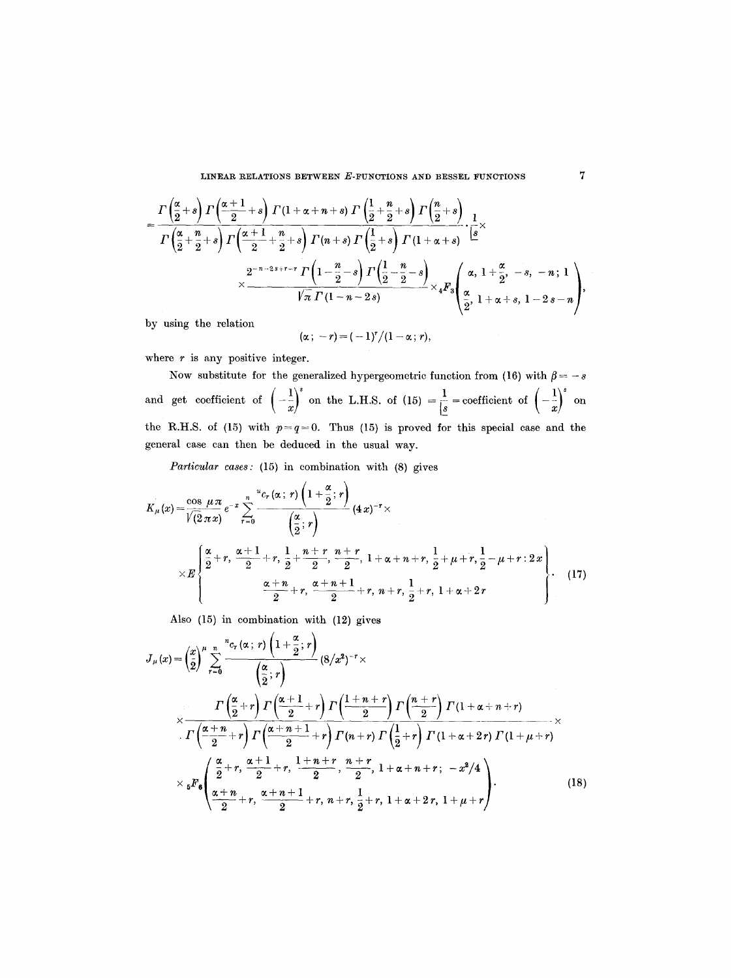$$
= \frac{\Gamma\left(\frac{\alpha}{2}+s\right)\Gamma\left(\frac{\alpha+1}{2}+s\right)\Gamma\left(1+\alpha+n+s\right)\Gamma\left(\frac{1}{2}+\frac{n}{2}+s\right)\Gamma\left(\frac{n}{2}+s\right)}{\Gamma\left(\frac{\alpha}{2}+\frac{n}{2}+s\right)\Gamma\left(\frac{\alpha+1}{2}+\frac{n}{2}+s\right)\Gamma\left(n+s\right)\Gamma\left(\frac{1}{2}+s\right)\Gamma\left(1+\alpha+s\right)}\cdot\frac{1}{s} \times \frac{2^{-n-2s+r-r}\Gamma\left(1-\frac{n}{2}-s\right)\Gamma\left(\frac{1}{2}-\frac{n}{2}-s\right)}{\sqrt{\pi}\Gamma\left(1-n-2s\right)} \times {}_4F_3\left(\frac{\alpha}{2},\ 1+\alpha+s,\ 1-2s-n\right),
$$

by using the relation

$$
(\alpha\,;\ -r)=(-1)^r/(1-\alpha\,;\,r),
$$

where  $r$  is any positive integer.

Now substitute for the generalized hypergeometric function from (16) with  $\beta = -s$ and get coefficient of  $\left(-\frac{1}{x}\right)^s$  on the L.H.S. of (15)  $=\frac{1}{g}$  = coefficient of  $\left(-\frac{1}{x}\right)^s$  on the R.H.S. of (15) with  $p=q=0$ . Thus (15) is proved for this special case and the general case can then be deduced in the usual way.

*Particular cases:* (15) in combination with (8) gives

$$
K_{\mu}(x) = \frac{\cos \mu \pi}{\sqrt{2} \pi x} e^{-x} \sum_{r=0}^{n} \frac{ {}^{u}c_{r}(\alpha; r) \left(1 + \frac{\alpha}{2}; r\right)}{\left(\frac{\alpha}{2}; r\right)} (4x)^{-r} \times
$$
\n
$$
\times E \left\{\frac{\frac{\alpha}{2} + r, \frac{\alpha+1}{2} + r, \frac{1}{2} + \frac{n+r}{2}, \frac{n+r}{2}, 1 + \alpha + n + r, \frac{1}{2} + \mu + r, \frac{1}{2} - \mu + r : 2x}{\frac{\alpha+n}{2} + r, \frac{\alpha+n+1}{2} + r, n + r, \frac{1}{2} + r, 1 + \alpha + 2r} \right\}.
$$
\n(17)

Also (15) in combination with (12) gives

$$
J_{\mu}(x) = \left(\frac{x}{2}\right)^{\mu} \sum_{r=0}^{n} \frac{{}^{n}c_{r}(\alpha; r)\left(1+\frac{\alpha}{2}; r\right)}{\left(\frac{\alpha}{2}; r\right)} (8/x^{2})^{-r} \times
$$
\n
$$
\times \frac{\Gamma\left(\frac{\alpha}{2}+r\right)\Gamma\left(\frac{\alpha+1}{2}+r\right)\Gamma\left(\frac{1+n+r}{2}\right)\Gamma\left(\frac{n+r}{2}\right)\Gamma(1+\alpha+n+r)}{\Gamma\left(\frac{\alpha+n}{2}+r\right)\Gamma\left(\frac{\alpha+n+1}{2}+r\right)\Gamma(n+r)\Gamma\left(\frac{1}{2}+r\right)\Gamma(1+\alpha+2r)\Gamma(1+\mu+r)} \times
$$
\n
$$
\times {}_{5}F_{6}\left(\frac{\frac{\alpha}{2}+r}{2}, \frac{\alpha+1}{2}+r, \frac{1+n+r}{2}, \frac{n+r}{2}, 1+\alpha+n+r; -x^{2}/4}{2}\right) \times {}_{5}F_{6}\left(\frac{\alpha+n}{2}+r, \frac{\alpha+n+1}{2}+r, n+r, \frac{1}{2}+r, 1+\alpha+2r, 1+\mu+r\right).
$$
\n(18)

 $\overline{7}$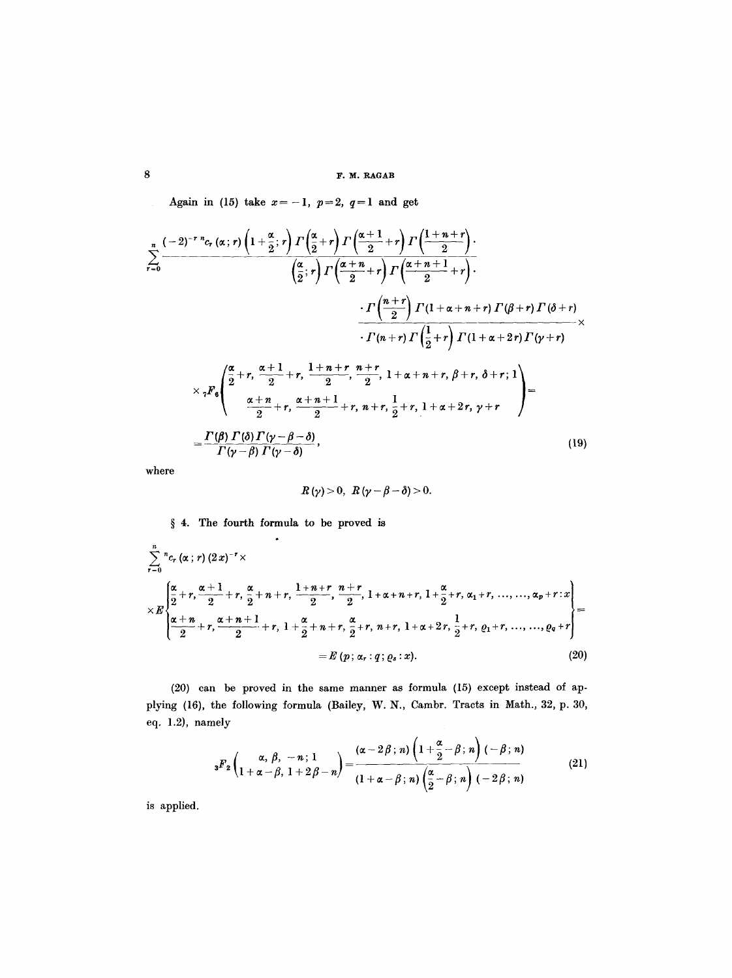Again in (15) take  $x=-1$ ,  $p=2$ ,  $q=1$  and get

$$
\sum_{r=0}^{n} \frac{(-2)^{-r} {}^{n}c_{r}(\alpha;r) \left(1+\frac{\alpha}{2};r\right) \Gamma\left(\frac{\alpha}{2}+r\right) \Gamma\left(\frac{\alpha+1}{2}+r\right) \Gamma\left(\frac{1+n+r}{2}\right)}{\left(\frac{\alpha}{2};r\right) \Gamma\left(\frac{\alpha+n}{2}+r\right) \Gamma\left(\frac{\alpha+n+1}{2}+r\right)} \cdot \frac{\cdot \Gamma\left(\frac{n+r}{2}\right) \Gamma(1+\alpha+n+r) \Gamma(\beta+r) \Gamma(\delta+r)}{\cdot \Gamma(n+r) \Gamma\left(\frac{1}{2}+r\right) \Gamma(1+\alpha+2r) \Gamma(\gamma+r)} \times \frac{\cdot \Gamma\left(\frac{\alpha}{2}+r,\frac{\alpha+1}{2}+r,\frac{1+n+r}{2},\frac{n+r}{2},1+\alpha+n+r,\beta+r,\delta+r;1\right)}{\frac{\alpha+n}{2}+\gamma,\frac{\alpha+n+1}{2}+\gamma,\frac{n+r}{2}+\gamma,\frac{1}{2}+\gamma,\frac{1}{2}+\gamma,\frac{1}{2}+\gamma,\gamma+r} \bigg) = \frac{\Gamma(\beta) \Gamma(\delta) \Gamma(\gamma-\beta-\delta)}{\Gamma(\gamma-\beta) \Gamma(\gamma-\delta)},
$$
\n(19)

where

$$
R(\gamma) > 0, \ R(\gamma - \beta - \delta) > 0.
$$

# § 4. The fourth formula to be proved is

$$
\sum_{r=0}^{n} {}^{n}c_{r}(\alpha;r) (2x)^{-r} \times
$$
\n
$$
\times E\left\{\frac{\alpha}{2}+r, \frac{\alpha+1}{2}+r, \frac{\alpha}{2}+n+r, \frac{1+n+r}{2}, \frac{n+r}{2}, 1+\alpha+n+r, 1+\frac{\alpha}{2}+r, \alpha_{1}+r, ..., ..., \alpha_{p}+r: x\right\}
$$
\n
$$
\times E\left\{\frac{\alpha+n}{2}+r, \frac{\alpha+n+1}{2}+r, 1+\frac{\alpha}{2}+n+r, \frac{\alpha}{2}+r, n+r, 1+\alpha+2r, \frac{1}{2}+r, \varrho_{1}+r, ..., ..., \varrho_{q}+r\right\}
$$
\n
$$
= E(p; \alpha_{r}:q; \varrho_{s}:x).
$$
\n(20)

(20) can be proved in the same manner as formula (15) except instead of applying (16), the following formula (Bailey, W. N., Cambr. Tracts in Math., 32, p. 30, eq. 1.2), namely

$$
{}_{3}F_{2}\left(\begin{matrix}\alpha, \beta, -n; 1\\1+\alpha-\beta, 1+2\beta-n\end{matrix}\right)=\frac{(\alpha-2\beta; n)\left(1+\frac{\alpha}{2}-\beta; n\right)(-\beta; n)}{(1+\alpha-\beta; n)\left(\frac{\alpha}{2}-\beta; n\right)(-2\beta; n)}
$$
(21)

is applied.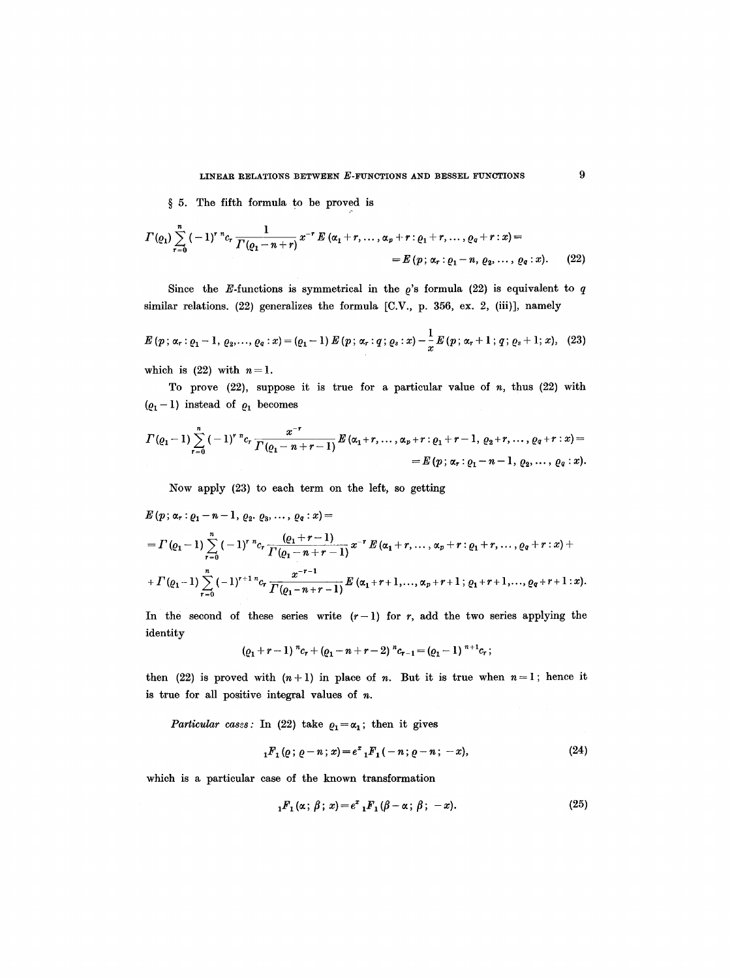§ 5. The fifth formula to be proved is

$$
\Gamma(\varrho_1) \sum_{r=0}^{n} (-1)^{r} {^{n}c_r} \frac{1}{\Gamma(\varrho_1 - n + r)} x^{-r} E(\alpha_1 + r, \ldots, \alpha_p + r : \varrho_1 + r, \ldots, \varrho_q + r : x) =
$$
  
=  $E(p; \alpha_r : \varrho_1 - n, \varrho_2, \ldots, \varrho_q : x).$  (22)

Since the E-functions is symmetrical in the  $\rho$ 's formula (22) is equivalent to  $q$ similar relations. (22) generalizes the formula [C.V., p. 356, ex. 2, (iii)], namely

$$
E(p; \alpha_r : \varrho_1 - 1, \varrho_2, \ldots, \varrho_q : x) = (\varrho_1 - 1) E(p; \alpha_r : q; \varrho_s : x) - \frac{1}{x} E(p; \alpha_r + 1; q; \varrho_s + 1; x), \quad (23)
$$

which is  $(22)$  with  $n=1$ .

To prove  $(22)$ , suppose it is true for a particular value of n, thus  $(22)$  with  $(\varrho_1-1)$  instead of  $\varrho_1$  becomes

$$
\Gamma(\varrho_1-1)\sum_{r=0}^n\,(-1)^r\, {}^{n}c_r\,\frac{x^{-r}}{\Gamma(\varrho_1-n+r-1)}\,E\left(\alpha_1+r,\ldots,\alpha_p+r\,:\varrho_1+r-1,\,\varrho_2+r,\ldots,\varrho_q+r\,:\,x\right)=\\=E\left(p\,;\,\alpha_r\,:\varrho_1-n-1,\,\varrho_2,\ldots,\,\varrho_q\,:\,x\right).
$$

Now apply (23) to each term on the left, so getting

$$
E(p; \alpha_r : \varrho_1 - n - 1, \varrho_2, \varrho_3, \ldots, \varrho_q : x) =
$$
  
=  $\Gamma(\varrho_1 - 1) \sum_{r=0}^n (-1)^r {n \choose r} \frac{(\varrho_1 + r - 1)}{\Gamma(\varrho_1 - n + r - 1)} x^{-r} E(\alpha_1 + r, \ldots, \alpha_p + r : \varrho_1 + r, \ldots, \varrho_q + r : x) +$   
+  $\Gamma(\varrho_1 - 1) \sum_{r=0}^n (-1)^{r+1} {n \choose r} \frac{x^{-r-1}}{\Gamma(\varrho_1 - n + r - 1)} E(\alpha_1 + r + 1, \ldots, \alpha_p + r + 1; \varrho_1 + r + 1, \ldots, \varrho_q + r + 1 : x).$ 

In the second of these series write  $(r-1)$  for *r*, add the two series applying the identity

$$
(Q_1+r-1) {}^{n}c_r+(Q_1-n+r-2) {}^{n}c_{r-1}=(Q_1-1) {}^{n+1}c_r;
$$

then (22) is proved with  $(n+1)$  in place of n. But it is true when  $n=1$ ; hence it is true for all positive integral values of  $n$ .

*Particular cases:* In (22) take  $\rho_1 = \alpha_1$ ; then it gives

$$
{}_{1}F_{1}(p; p-n; x) = e^{x} {}_{1}F_{1}(-n; p-n; -x), \qquad (24)
$$

which is a particular case of the known transformation

$$
{}_{1}F_{1}(\alpha\,;\,\beta\,;\,x)=e^{x} {}_{1}F_{1}(\beta-\alpha\,;\,\beta\,;\,-x). \tag{25}
$$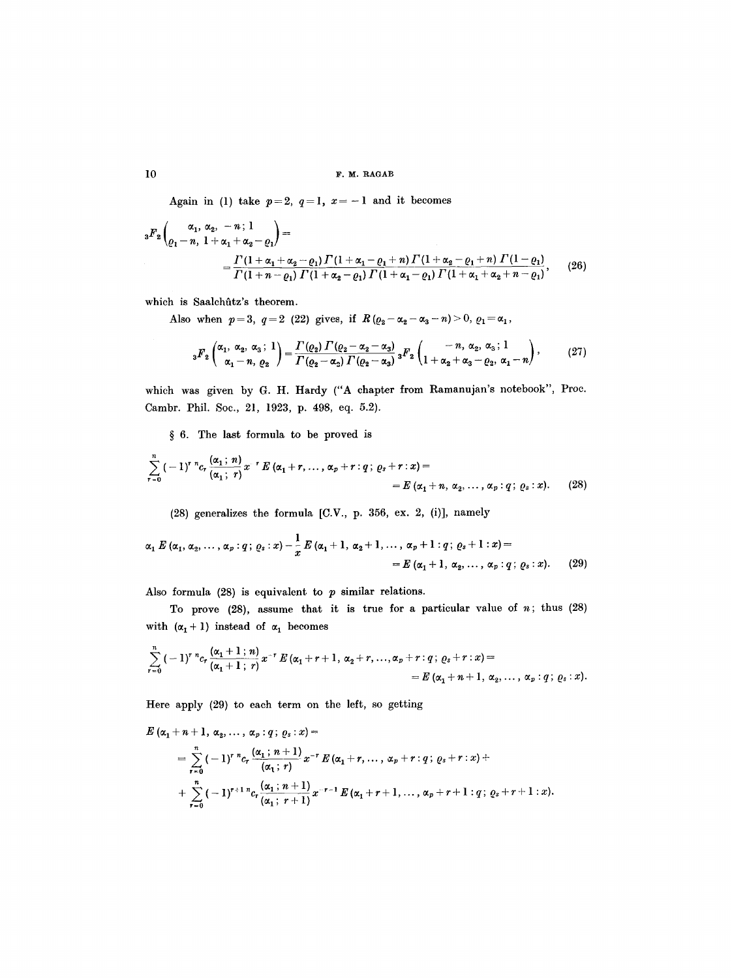# 10 F.M. RAGAB

Again in (1) take  $p=2$ ,  $q=1$ ,  $x=-1$  and it becomes

$$
{}_{3}F_{2}\left(\frac{\alpha_{1}, \alpha_{2}, -n; 1}{\varrho_{1}-n, 1+\alpha_{1}+\alpha_{2}-\varrho_{1}}\right) =
$$
\n
$$
= \frac{\Gamma(1+\alpha_{1}+\alpha_{2}-\varrho_{1})\Gamma(1+\alpha_{1}-\varrho_{1}+n)\Gamma(1+\alpha_{2}-\varrho_{1}+n)\Gamma(1-\varrho_{1})}{\Gamma(1+n-\varrho_{1})\Gamma(1+\alpha_{2}-\varrho_{1})\Gamma(1+\alpha_{1}-\varrho_{1})\Gamma(1+\alpha_{1}+\alpha_{2}+n-\varrho_{1})},
$$
\n(26)

which is Saalchûtz's theorem.

Also when  $p = 3$ ,  $q = 2$  (22) gives, if  $R(\varrho_2 - \alpha_2 - \alpha_3 - n) > 0$ ,  $\varrho_1 = \alpha_1$ ,

$$
{}_3F_2\left(\begin{matrix}\alpha_1,\ \alpha_2,\ \alpha_3\end{matrix}; 1\right) = \frac{\Gamma(\varrho_2)\,\Gamma(\varrho_2-\alpha_2-\alpha_3)}{\Gamma(\varrho_2-\alpha_2)\,\Gamma(\varrho_2-\alpha_3)}\, {}_3F_2\left(\begin{matrix}\n-n,\ \alpha_2,\ \alpha_3\end{matrix}; 1\n\right),\n\tag{27}
$$

which was given by G. H. Hardy ("A chapter from Ramanujan's notebook", Proc. Cambr. Phil. Soc., 21, 1923, p. 498, eq. 5.2).

 $§ 6.$  The last formula to be proved is

$$
\sum_{r=0}^{n}(-1)^{r} {}^{n}c_{r}\frac{(\alpha_{1}; n)}{(\alpha_{1}; r)}x^{r} E(\alpha_{1}+r, \ldots, \alpha_{p}+r: q; \varrho_{s}+r:x) =
$$
  
=  $E(\alpha_{1}+n, \alpha_{2}, \ldots, \alpha_{p}: q; \varrho_{s}:x).$  (28)

(28) generalizes the formula [C.V., p. 356, ex. 2, (i)], namely

$$
\alpha_1 \, E \, (\alpha_1, \alpha_2, \ldots, \alpha_p : q \, ; \, \varrho_s : x) - \frac{1}{x} \, E \, (\alpha_1 + 1, \, \alpha_2 + 1, \ldots, \, \alpha_p + 1 : q \, ; \, \varrho_s + 1 : x) =
$$
\n
$$
= E \, (\alpha_1 + 1, \, \alpha_2, \ldots, \, \alpha_p : q \, ; \, \varrho_s : x). \tag{29}
$$

Also formula  $(28)$  is equivalent to  $p$  similar relations.

To prove  $(28)$ , assume that it is true for a particular value of  $n$ ; thus  $(28)$ with  $(\alpha_1 + 1)$  instead of  $\alpha_1$  becomes

$$
\sum_{r=0}^{n} (-1)^{r} {}^{n}c_{r} \frac{(\alpha_{1}+1; n)}{(\alpha_{1}+1; r)} x^{-r} E(\alpha_{1}+r+1, \alpha_{2}+r, ..., \alpha_{p}+r; q; \varrho_{s}+r; x) =
$$
  
=  $E(\alpha_{1}+n+1, \alpha_{2}, ..., \alpha_{p}; q; \varrho_{s}: x).$ 

Here apply (29) to each term on the left, so getting

$$
E(\alpha_1 + n + 1, \alpha_2, ..., \alpha_p : q; \varrho_s : x) =
$$
  
=  $\sum_{r=0}^{n} (-1)^r {n \choose r} {(\alpha_1; n + 1) \choose (\alpha_1; r)} x^{-r} E(\alpha_1 + r, ..., \alpha_p + r : q; \varrho_s + r : x) +$   
+  $\sum_{r=0}^{n} (-1)^{r+1} {n \choose r} {(\alpha_1; n + 1) \choose (\alpha_1; r + 1)} x^{-r-1} E(\alpha_1 + r + 1, ..., \alpha_p + r + 1 : q; \varrho_s + r + 1 : x).$